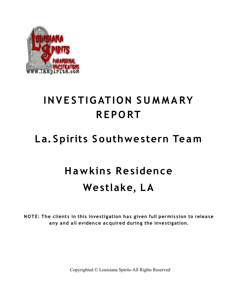

### **INV E STIG ATION S U M M A RY R EPO RT**

#### **La. Spirits S outhwestern Team**

# **Ha wkins Residence Westlake, LA**

**NOTE: The clients in this investigation has given full permis sion to release any and all evidence acquired during the investigation.**

Copyrighted © Louisiana Spirits-All Rights Reserved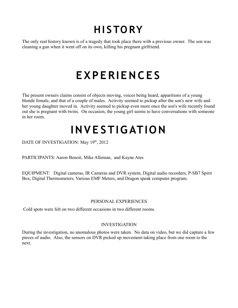## **HI S TO RY**

The only real history known is of a tragedy that took place there with a previous owner. The son was cleaning a gun when it went off on its own, killing his pregnant girlfriend.

### **E XP E RIE N C E S**

The present owners claims consist of objects moving, voices being heard, apparitions of a young blonde female, and that of a couple of males. Activity seemed to pickup after the son's new wife and her young daughter moved in. Activity seemed to pickup even more once the son's wife recently found out she is pregnant with twins. On occasion, the young girl seems to have conversations with someone in her room.

## **INVE STIG ATION**

DATE OF INVESTIGATION: May 19<sup>th</sup>, 2012

PARTICIPANTS: Aaron Benoit, Mike Alleman, and Kayne Ates

EQUIPMENT: Digital cameras, IR Cameras and DVR system, Digital audio recorders, P-SB7 Spirit Box, Digital Thermometers, Various EMF Meters, and Dragon speak computer program.

#### PERSONAL EXPERIENCES

Cold spots were felt on two different occasions in two different rooms.

#### INVESTIGATION

During the investigation, no anomalous photos were taken. No data on video, but we did capture a few pieces of audio. Also, the sensors on DVR picked up movement taking place from one room to the next.